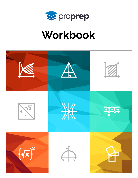

# Workbook

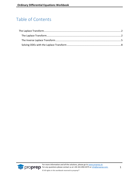# Table of Contents

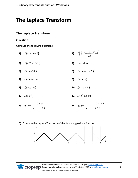# <span id="page-2-0"></span>**The Laplace Transform**

# <span id="page-2-1"></span>**The Laplace Transform**

#### **Questions**

Compute the following questions:

- **1)**  $\mathcal{L}(t^2 + 4t 2)$ **2)**  $\mathcal{L} \left( \frac{1}{2} t^4 + \frac{2}{\sqrt{t}} \sqrt{t} + 1 \right)$ 2  $t^4 + \frac{2}{\sqrt{\pi}}\sqrt{t}$  $\left(\frac{1}{2}t^4 + \frac{2}{\sqrt{\pi}}\sqrt{t} + 1\right)$ **3)**  $\mathcal{L}(e^{-4t} + 10e^{2t})$ **4)**  $\mathcal{L}(\cosh 4t)$ **5)**  $\mathcal{L}(\sinh 10t)$ **6)**  $\mathcal{L}(\sin 2t \cos 2t)$ **7)**  $\mathcal{L}(\sin 2t \cos t)$ **8)**  $\mathcal{L}(\sin^2 t)$ **9)**  $\mathcal{L}(\cos^2 4t)$ **10)**  $\mathcal{L}(t^2 \sin 4t)$ **11)**  $\mathcal{L}(t^4e^{2t})$ **12)**  $\mathcal{L}(e^{2t} \sin 4t)$
- **13)**  $0 < t \leq 1$  $(t)$ 1  $t>1$  $t \quad 0 < t$ *g t t*  $\begin{cases} t & 0 < t \leq 1 \end{cases}$  $=\{$  $\begin{cases} 1 & t > \end{cases}$ **14)**  $0 < t \leq 1$  $(t)$  $2-t$  1  $t \qquad \qquad 0 < t$ *g t*  $t \qquad 1 < t$  $\begin{cases} t & 0 < t \leq 1 \end{cases}$  $=\begin{cases} 1 & \text{if } t \geq 0 \\ 2-t & 1 < t \end{cases}$
- **15)** Compute the Laplace Transform of the following periodic function:



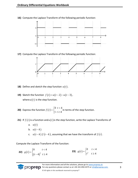

**16)** Compute the Laplace Transform of the following periodic function:

**17)** Compute the Laplace Transform of the following periodic function:



- **18)** Define and sketch the step function  $u(t)$ .
- **19)** Sketch the function  $f(t) = u(t-2) u(t-3)$ , where  $u(t)$  is the step function.
- **20)** Express the function  $f(t)$ 0  $t < 4$  $1 \t t \geq 4$ *t f t t*  $\begin{bmatrix} 0 & t \end{bmatrix}$  $=\{$  $\begin{cases} 1 & t \geq \end{cases}$ in terms of the step function.
- **21)** If  $f(t)$  is a function and  $u(t)$  is the step function, write the Laplace Transforms of
	- a. *u*(*t*) b.  $u(t-k)$ c.  $u(t-k) f(t-k)$ , assuming that we have the transform of  $f(t)$ .

Compute the Laplace Transform of the function:

**22)**  $g(t)$  $(t - 4)^2$  $0 \qquad t < 4$  $4)^2$   $t \ge 4$  $g(t) = \begin{cases} 0 & t \end{cases}$  $(t-4)^2$  t  $\begin{cases} 0 & t < \end{cases}$  $=\begin{cases} (t-4)^2 & t \geq 4 \end{cases}$ **23)**  $g(t) = \begin{cases} 1 & t \end{cases}$ 0  $t < 4$ 4  $g(t) = \begin{cases} 0 & t \end{cases}$  $t^2$  t  $\begin{cases} 0 & t < \end{cases}$  $=\{$  $\begin{cases} t^2 & t \geq \end{cases}$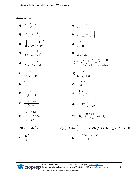### **Answer Key**

1) 
$$
\frac{2}{s^3} + \frac{4}{s^2} - \frac{2}{s}
$$
  
\n2)  $\frac{1}{s+4} + 10\frac{1}{s-2}$   
\n3)  $\frac{1}{s+4} + 10\frac{1}{s-2}$   
\n4)  $\frac{1}{2} \left[ \frac{1}{s-4} + \frac{1}{s+4} \right]$   
\n5)  $\frac{1}{2} \left[ \frac{1}{s-10} - \frac{1}{s+10} \right]$   
\n6)  $\frac{2}{s^2 + 16}$   
\n7)  $\frac{1}{2} \frac{5}{s^2 + 25} - \frac{1}{2} \frac{1}{s^2 + 1}$   
\n8)  $\frac{1}{2} \cdot \frac{1}{s} - \frac{1}{2} \frac{s}{s^2 + 4}$   
\n9)  $\frac{1}{2} \cdot \frac{1}{s} + \frac{1}{2} \frac{s}{s^2 + 64}$   
\n10)  $(-1)^2 \left( \frac{4}{s^2 + 16} \right)^n = \frac{8(3s^2 - 16)}{(s^2 + 16)^3}$   
\n11)  $\frac{4}{(s-2)^2 + 16}$   
\n12)  $\frac{4}{(s-2)^2 + 16}$   
\n13)  $\frac{1-e^{-s}}{s^2}$   
\n14)  $\frac{1-2e^{-s}}{s^2}$   
\n15)  $\frac{1-e^{-s}}{s^2(1-e^{-2s})}$   
\n16)  $\frac{1-e^{-s}}{s(1+e^{-s})}$   
\n17)  $\frac{1-e^{-s} - se^{-2s}}{s^2(1-e^{-2s})}$   
\n18)  $u_k(t) = \begin{cases} 0 & t < k \\ 1 & t \ge k \end{cases}$   
\n19)  $\frac{1}{2} \cdot \frac{1}{s^2(1-e^{-2s})}$   
\n10)  $f(t) = \begin{cases} 0 & t < k \\ 1 & t \ge k \end{cases}$   
\n11)  $\frac{1-e^{-s}}{s^2(1-e^{-2s})}$   
\n12)  $\frac{1}{s^3} = \frac{1}{s^3}$ 



© All rights in this workbook reserved to proprep™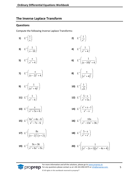# <span id="page-5-0"></span>**The Inverse Laplace Transform**

# **Questions**

Compute the following Inverse Laplace Transforms:

| 1) $L^{-1}(\frac{1}{s})$                                              | 2) $L^{-1}\left(\frac{1}{s^4}\right)$                                     |
|-----------------------------------------------------------------------|---------------------------------------------------------------------------|
| <b>3)</b> $L^{-1}\left(\frac{1}{s-10}\right)$                         | 4) $L^{-1}\left(\frac{1}{s^2+4}\right)$                                   |
| 5) $L^{-1}\left(\frac{s}{s^2+4}\right)$                               | 6) $L^{-1}\left(\frac{1}{(s-10)^2+4}\right)$                              |
| 7) $L^{-1}\left(\frac{s}{(s-2)^2+4}\right)$                           | <b>8)</b> $L^{-1} \left( \frac{s}{(s^2+4)^2} \right)$                     |
| 9) $L^{-1}\left(\frac{1}{(s^2+4)^2}\right)$                           | <b>10)</b> $L^{-1}\left(\frac{1}{\sqrt{s}}\right)$                        |
| <b>11)</b> $L^{-1}\left(\frac{1}{s^2-4}\right)$                       | <b>12)</b> $L^{-1}\left(\frac{5-s}{s^2+5s}\right)$                        |
| <b>13)</b> $L^{-1}\left(\frac{s}{s^2+5s+6}\right)$                    | <b>14)</b> $L^{-1}\left(\frac{s^2+s-1}{s^3-s}\right)$                     |
| <b>15)</b> $L^{-1} \left( \frac{6s^2 + 4s - 6}{s^3 - 7s - 6} \right)$ | <b>16)</b> $L^{-1} \left( \frac{10s}{s^4 - 13s^2 + 36} \right)$           |
| <b>17)</b> $L^{-1} \left( \frac{8s}{(s-2)^2 (s+2)} \right)$           | <b>18)</b> $L^{-1}\left(\frac{5-s}{s^3+s^2}\right)$                       |
| <b>19)</b> $L^{-1} \left( \frac{9s + 36}{s^3 + 6s^2 + 9s} \right)$    | <b>20)</b> $L^{-1} \left( \frac{1}{(s^2 - 2s + 1)(s^2 - 4s + 4)} \right)$ |

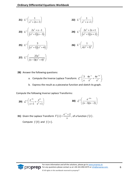**21)** 
$$
L^{-1}\left(\frac{1}{s^2+2s+3}\right)
$$
  
\n**22)**  $L^{-1}\left(\frac{1}{s^2+s+1}\right)$   
\n**23)**  $L^{-1}\left(\frac{2s^2+s-1}{(s^2+1)(s-3)}\right)$   
\n**24)**  $L^{-1}\left(\frac{2s^2+2s+1}{(s^2+1)(s+2)}\right)$   
\n**25)**  $L^{-1}\left(\frac{3}{(s^2+1)(s^2+4)}\right)$   
\n**26)**  $L^{-1}\left(\frac{1}{s(s^2+1)^2}\right)$   
\n**27)**  $L^{-1}\left(\frac{25s^2}{(s-1)(s^2+4)^2}\right)$ 

- **28)** Answer the following questions:
	- a. Compute the Inverse Laplace Transform:  $\frac{1}{s} \left( \frac{3}{s} - \frac{4e^{-s}}{s^2} + \frac{4e^{-3}}{s^2} \right)$ 3  $4e^{-s}$   $4e^{-3s}$  $\frac{x}{s}$  -  $\frac{x^2}{s^2}$  +  $\frac{x^3}{s^3}$  $_{-1}$ (3 4 $e^{-s}$ , 4 $e^{-3s}$  $\left(\frac{3}{s} - \frac{4e^{-s}}{s^2} + \frac{4e^{-3s}}{s^2}\right).$  $\left(\frac{5}{s}-\frac{16}{s^2}+\frac{16}{s^2}\right)$ .
	- b. Express the result as a piecewise function and sketch its graph.

Compute the following Inverse Laplace Transforms:

**29)** 
$$
\mathcal{L}^{-1}\left(\frac{e^{-4s}}{s+1} + \frac{e^{2s}}{s^2+1}\right)
$$
 **30)**  $\mathcal{L}^{-1}\left(\frac{e^{-10s}}{(s-1)(s-2)}\right)$ 

**31)** Given the Laplace Transform  $F(s)$  $F(s) = \frac{e^{-s} + 2}{s}$ *s*  $=\frac{e^{-s}+2}{s}$ , of a function  $f(t)$ . Compute  $f(0)$  and  $f(\infty)$ .

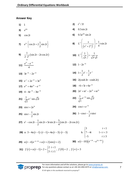## **Answer Key**

| 1) | $\mathbf{1}$                                                                                                       |    | <b>2)</b> $t^3/3!$                                                                |
|----|--------------------------------------------------------------------------------------------------------------------|----|-----------------------------------------------------------------------------------|
| 3) | $e^{10t}$                                                                                                          | 4) | $0.5\sin 2t$                                                                      |
| 5) | $\cos 2t$                                                                                                          |    | 6) $0.5e^{10t} \sin 2t$                                                           |
|    | 7) $e^{2t} \left\{ \cos 2t + 2 \frac{1}{2} \sin 2t \right\}$                                                       |    | <b>8)</b> $L^{-1} \left( \frac{s}{(s^2 + 2^2)^2} \right) = \frac{1}{4} t \sin 2t$ |
|    | 9) $\frac{1}{2 \cdot 2^3} (\sin 2t - 2t \cos 2t)$<br>16                                                            |    | <b>10)</b> $L^{-1}\left(\frac{1}{\sqrt{s}}\right) = \frac{1}{\sqrt{\pi}\sqrt{t}}$ |
|    | <b>11)</b> $\frac{e^{2t}-e^{-2t}}{4}$                                                                              |    | 12) $1-2e^{-5t}$                                                                  |
|    | <b>13)</b> $3e^{-3t} - 2e^{-2t}$                                                                                   |    | <b>14)</b> $1+\frac{1}{2}e^{t}-\frac{1}{2}e^{-t}$                                 |
|    | <b>15)</b> $e^{-t} + 2e^{-2t} + 3e^{3t}$                                                                           |    | <b>16)</b> $2(\cosh 3t - \cosh 2t)$                                               |
|    | 17) $e^{2t} + 4te^{2t} - e^{-2t}$                                                                                  |    | <b>18)</b> $-6+5t+6e^{-2t}$                                                       |
|    | <b>19)</b> $4-4e^{-3t}-3te^{-3t}$                                                                                  |    | <b>20)</b> $2e^{t} + te^{t} - 2e^{2t} + te^{2t}$                                  |
|    | <b>21)</b> $\frac{1}{\sqrt{2}}e^{-t} \sin \sqrt{2}t$                                                               |    | <b>22)</b> $\frac{1}{\sqrt{\frac{3}{4}}}e^{-\frac{1}{2}t}\sin\sqrt{\frac{3}{4}}t$ |
|    | <b>23)</b> $\sin t + 2e^{3t}$                                                                                      |    | <b>24)</b> $\cos t + e^{-2t}$                                                     |
|    | <b>25)</b> $\sin t - \frac{1}{2} \sin 2t$                                                                          |    | <b>26)</b> $1-\cos t - \frac{1}{2}t \sin t$                                       |
|    | <b>27)</b> $e^t - \cos 2t - \frac{1}{2} \sin 2t + 5t \sin 2t + \frac{5}{4} (\sin 2t - 2t \cos 2t)$                 |    |                                                                                   |
|    | <b>28)</b> a. $3-4u(t-1) \cdot (t-1) + 4u(t-3) \cdot (t-3)$                                                        |    | b. $\begin{cases} 3 & t < 1 \\ 7 - 4t & 1 < t < 3 \\ -5 & t \ge 3 \end{cases}$    |
|    | <b>29)</b> $u(t-4)e^{-(t-4)} + u(t+2)\sin(t+2)$                                                                    |    | <b>30)</b> $u(t-10)(e^{t-10}-e^{2(t-10)})$                                        |
|    | <b>31)</b> $f(t) = u(t-1) + 2 = \begin{cases} 2 & t < 1 \\ 3 & t \ge 1 \end{cases}$ , $f(0) = 2$ , $f(\infty) = 3$ |    |                                                                                   |

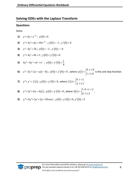# <span id="page-8-0"></span>**Solving ODEs with the Laplace Transform**

## **Questions**

Solve:

1) 
$$
y'+4y = e^{-3t}
$$
;  $y(0) = 0$   
\n2)  $y''+4y'+4y = 10e^{-2t}$ ;  $y(0) = -1$ ,  $y'(0) = 4$   
\n3)  $y''-4y' = 16$ ;  $y(0) = -1$ ,  $y'(0) = -4$   
\n4)  $y''+4y' = 8t+2$ ;  $y(0) = y'(0) = 0$   
\n5)  $4y''-4y' = te' + e'$ ;  $y(0) = y'(0) = \frac{1}{4}$   
\n6)  $y''-3y'+2y = u(t-4)$ ;  $y(0) = y'(0) = 0$ , where  $u(t) = \begin{cases} 0 & t < 0 \\ 1 & t \ge 0 \end{cases}$  is the unit step function.  
\n7)  $y''+y' = f(t)$ ;  $y(0) = y'(0) = 0$ , where  $f(t) = \begin{cases} 0 & t < 1 \\ 2 & t \ge 1 \end{cases}$ .

8) 
$$
y''+5y'+6y=h(t)
$$
;  $y(0) = y'(0) = 0$ , where  $h(t) = \begin{cases} 1 & 0 < t < 2 \\ 0 & t \ge 2 \end{cases}$ .  
9)  $y'''+4y''+5y'+2y=10\cos t$ ;  $y(0) = y'(0) = 0$ ,  $y''(0) = 3$ 

9) 
$$
y'''+4y''+5y'+2y=10\cos t
$$
;  $y(0) = y'(0) = 0$ ,  $y''(0) = 3$